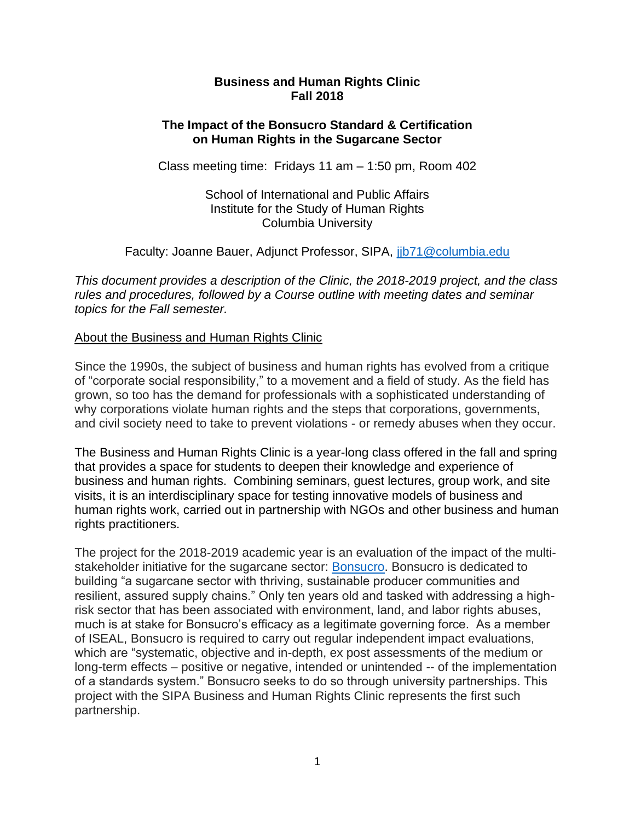### **Business and Human Rights Clinic Fall 2018**

### **The Impact of the Bonsucro Standard & Certification on Human Rights in the Sugarcane Sector**

Class meeting time: Fridays 11 am – 1:50 pm, Room 402

School of International and Public Affairs Institute for the Study of Human Rights Columbia University

Faculty: Joanne Bauer, Adjunct Professor, SIPA, [jjb71@columbia.edu](mailto:jjb71@columbia.edu)

*This document provides a description of the Clinic, the 2018-2019 project, and the class rules and procedures, followed by a Course outline with meeting dates and seminar topics for the Fall semester.* 

### About the Business and Human Rights Clinic

Since the 1990s, the subject of business and human rights has evolved from a critique of "corporate social responsibility," to a movement and a field of study. As the field has grown, so too has the demand for professionals with a sophisticated understanding of why corporations violate human rights and the steps that corporations, governments, and civil society need to take to prevent violations - or remedy abuses when they occur.

The Business and Human Rights Clinic is a year-long class offered in the fall and spring that provides a space for students to deepen their knowledge and experience of business and human rights. Combining seminars, guest lectures, group work, and site visits, it is an interdisciplinary space for testing innovative models of business and human rights work, carried out in partnership with NGOs and other business and human rights practitioners.

The project for the 2018-2019 academic year is an evaluation of the impact of the multistakeholder initiative for the sugarcane sector: [Bonsucro.](https://www.bonsucro.com/) Bonsucro is dedicated to building "a sugarcane sector with thriving, sustainable producer communities and resilient, assured supply chains." Only ten years old and tasked with addressing a highrisk sector that has been associated with environment, land, and labor rights abuses, much is at stake for Bonsucro's efficacy as a legitimate governing force. As a member of ISEAL, Bonsucro is required to carry out regular independent impact evaluations, which are "systematic, objective and in-depth, ex post assessments of the medium or long-term effects – positive or negative, intended or unintended -- of the implementation of a standards system." Bonsucro seeks to do so through university partnerships. This project with the SIPA Business and Human Rights Clinic represents the first such partnership.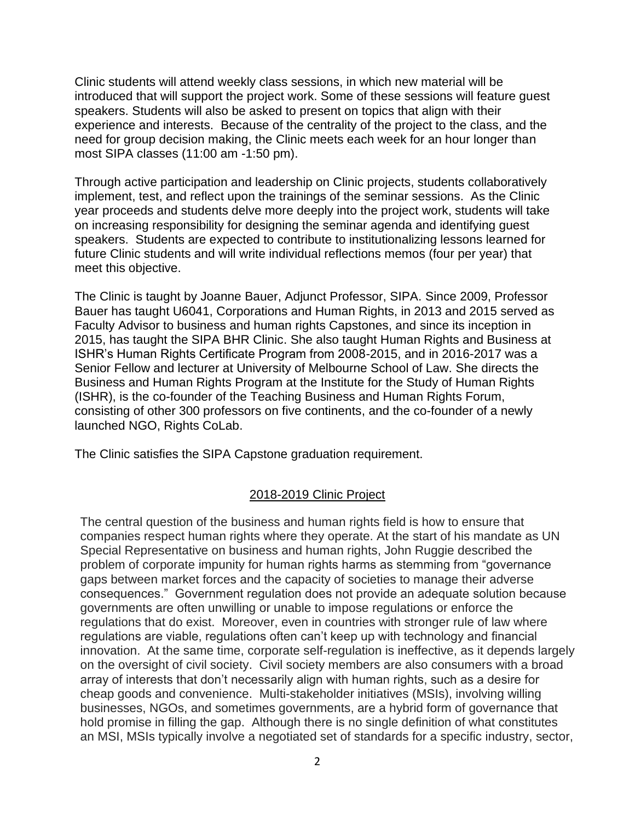Clinic students will attend weekly class sessions, in which new material will be introduced that will support the project work. Some of these sessions will feature guest speakers. Students will also be asked to present on topics that align with their experience and interests. Because of the centrality of the project to the class, and the need for group decision making, the Clinic meets each week for an hour longer than most SIPA classes (11:00 am -1:50 pm).

Through active participation and leadership on Clinic projects, students collaboratively implement, test, and reflect upon the trainings of the seminar sessions. As the Clinic year proceeds and students delve more deeply into the project work, students will take on increasing responsibility for designing the seminar agenda and identifying guest speakers. Students are expected to contribute to institutionalizing lessons learned for future Clinic students and will write individual reflections memos (four per year) that meet this objective.

The Clinic is taught by Joanne Bauer, Adjunct Professor, SIPA. Since 2009, Professor Bauer has taught U6041, Corporations and Human Rights, in 2013 and 2015 served as Faculty Advisor to business and human rights Capstones, and since its inception in 2015, has taught the SIPA BHR Clinic. She also taught Human Rights and Business at ISHR's Human Rights Certificate Program from 2008-2015, and in 2016-2017 was a Senior Fellow and lecturer at University of Melbourne School of Law. She directs the Business and Human Rights Program at the Institute for the Study of Human Rights (ISHR), is the co-founder of the Teaching Business and Human Rights Forum, consisting of other 300 professors on five continents, and the co-founder of a newly launched NGO, Rights CoLab.

The Clinic satisfies the SIPA Capstone graduation requirement.

### 2018-2019 Clinic Project

The central question of the business and human rights field is how to ensure that companies respect human rights where they operate. At the start of his mandate as UN Special Representative on business and human rights, John Ruggie described the problem of corporate impunity for human rights harms as stemming from "governance gaps between market forces and the capacity of societies to manage their adverse consequences." Government regulation does not provide an adequate solution because governments are often unwilling or unable to impose regulations or enforce the regulations that do exist. Moreover, even in countries with stronger rule of law where regulations are viable, regulations often can't keep up with technology and financial innovation. At the same time, corporate self-regulation is ineffective, as it depends largely on the oversight of civil society. Civil society members are also consumers with a broad array of interests that don't necessarily align with human rights, such as a desire for cheap goods and convenience. Multi-stakeholder initiatives (MSIs), involving willing businesses, NGOs, and sometimes governments, are a hybrid form of governance that hold promise in filling the gap. Although there is no single definition of what constitutes an MSI, MSIs typically involve a negotiated set of standards for a specific industry, sector,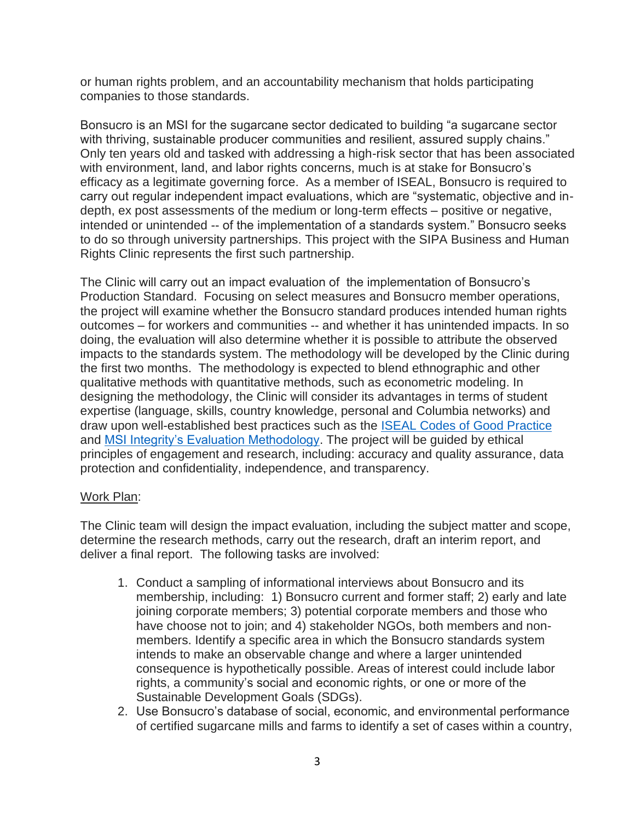or human rights problem, and an accountability mechanism that holds participating companies to those standards.

Bonsucro is an MSI for the sugarcane sector dedicated to building "a sugarcane sector with thriving, sustainable producer communities and resilient, assured supply chains." Only ten years old and tasked with addressing a high-risk sector that has been associated with environment, land, and labor rights concerns, much is at stake for Bonsucro's efficacy as a legitimate governing force. As a member of ISEAL, Bonsucro is required to carry out regular independent impact evaluations, which are "systematic, objective and indepth, ex post assessments of the medium or long-term effects – positive or negative, intended or unintended -- of the implementation of a standards system." Bonsucro seeks to do so through university partnerships. This project with the SIPA Business and Human Rights Clinic represents the first such partnership.

The Clinic will carry out an impact evaluation of the implementation of Bonsucro's Production Standard. Focusing on select measures and Bonsucro member operations, the project will examine whether the Bonsucro standard produces intended human rights outcomes – for workers and communities -- and whether it has unintended impacts. In so doing, the evaluation will also determine whether it is possible to attribute the observed impacts to the standards system. The methodology will be developed by the Clinic during the first two months. The methodology is expected to blend ethnographic and other qualitative methods with quantitative methods, such as econometric modeling. In designing the methodology, the Clinic will consider its advantages in terms of student expertise (language, skills, country knowledge, personal and Columbia networks) and draw upon well-established best practices such as the [ISEAL Codes of Good Practice](https://www.isealalliance.org/credible-sustainability-standards/iseal-codes-good-practice) and [MSI Integrity's Evaluation Methodology.](http://www.msi-integrity.org/evaluations/msi-evaluation-tool-2/) The project will be guided by ethical principles of engagement and research, including: accuracy and quality assurance, data protection and confidentiality, independence, and transparency.

#### Work Plan:

The Clinic team will design the impact evaluation, including the subject matter and scope, determine the research methods, carry out the research, draft an interim report, and deliver a final report. The following tasks are involved:

- 1. Conduct a sampling of informational interviews about Bonsucro and its membership, including: 1) Bonsucro current and former staff; 2) early and late joining corporate members; 3) potential corporate members and those who have choose not to join; and 4) stakeholder NGOs, both members and nonmembers. Identify a specific area in which the Bonsucro standards system intends to make an observable change and where a larger unintended consequence is hypothetically possible. Areas of interest could include labor rights, a community's social and economic rights, or one or more of the Sustainable Development Goals (SDGs).
- 2. Use Bonsucro's database of social, economic, and environmental performance of certified sugarcane mills and farms to identify a set of cases within a country,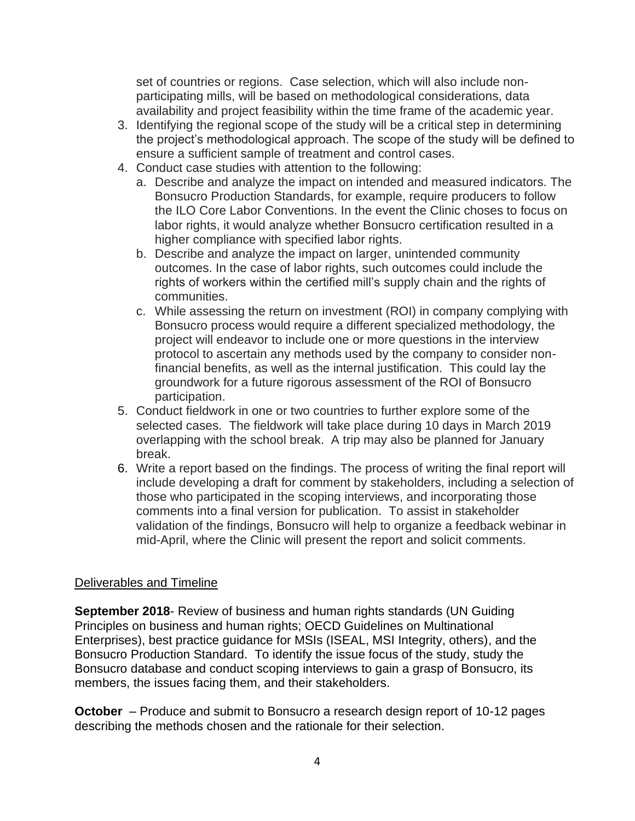set of countries or regions. Case selection, which will also include nonparticipating mills, will be based on methodological considerations, data availability and project feasibility within the time frame of the academic year.

- 3. Identifying the regional scope of the study will be a critical step in determining the project's methodological approach. The scope of the study will be defined to ensure a sufficient sample of treatment and control cases.
- 4. Conduct case studies with attention to the following:
	- a. Describe and analyze the impact on intended and measured indicators. The Bonsucro Production Standards, for example, require producers to follow the ILO Core Labor Conventions. In the event the Clinic choses to focus on labor rights, it would analyze whether Bonsucro certification resulted in a higher compliance with specified labor rights.
	- b. Describe and analyze the impact on larger, unintended community outcomes. In the case of labor rights, such outcomes could include the rights of workers within the certified mill's supply chain and the rights of communities.
	- c. While assessing the return on investment (ROI) in company complying with Bonsucro process would require a different specialized methodology, the project will endeavor to include one or more questions in the interview protocol to ascertain any methods used by the company to consider nonfinancial benefits, as well as the internal justification. This could lay the groundwork for a future rigorous assessment of the ROI of Bonsucro participation.
- 5. Conduct fieldwork in one or two countries to further explore some of the selected cases. The fieldwork will take place during 10 days in March 2019 overlapping with the school break. A trip may also be planned for January break.
- 6. Write a report based on the findings. The process of writing the final report will include developing a draft for comment by stakeholders, including a selection of those who participated in the scoping interviews, and incorporating those comments into a final version for publication. To assist in stakeholder validation of the findings, Bonsucro will help to organize a feedback webinar in mid-April, where the Clinic will present the report and solicit comments.

### Deliverables and Timeline

**September 2018**- Review of business and human rights standards (UN Guiding Principles on business and human rights; OECD Guidelines on Multinational Enterprises), best practice guidance for MSIs (ISEAL, MSI Integrity, others), and the Bonsucro Production Standard. To identify the issue focus of the study, study the Bonsucro database and conduct scoping interviews to gain a grasp of Bonsucro, its members, the issues facing them, and their stakeholders.

**October** – Produce and submit to Bonsucro a research design report of 10-12 pages describing the methods chosen and the rationale for their selection.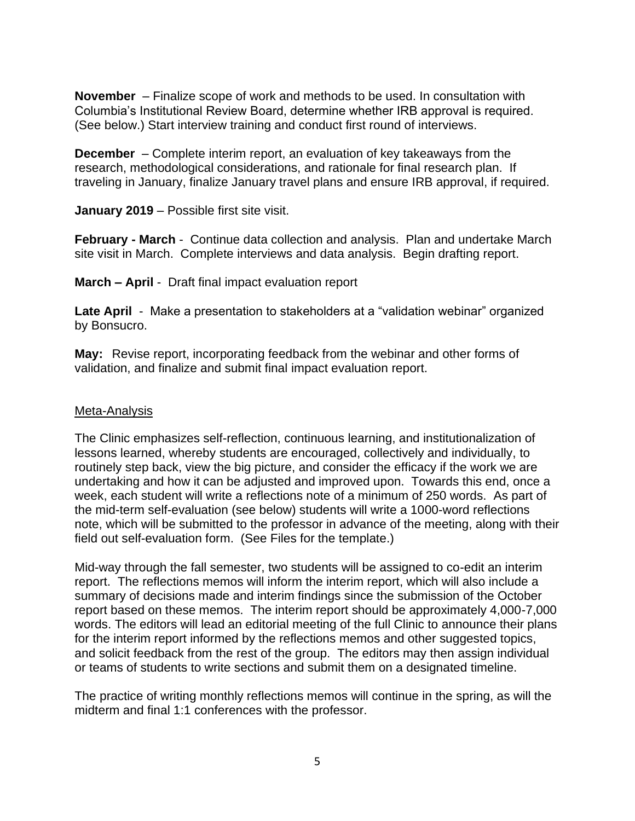**November** – Finalize scope of work and methods to be used. In consultation with Columbia's Institutional Review Board, determine whether IRB approval is required. (See below.) Start interview training and conduct first round of interviews.

**December** – Complete interim report, an evaluation of key takeaways from the research, methodological considerations, and rationale for final research plan. If traveling in January, finalize January travel plans and ensure IRB approval, if required.

**January 2019** – Possible first site visit.

**February - March** - Continue data collection and analysis. Plan and undertake March site visit in March. Complete interviews and data analysis. Begin drafting report.

**March – April** - Draft final impact evaluation report

**Late April** - Make a presentation to stakeholders at a "validation webinar" organized by Bonsucro.

**May:** Revise report, incorporating feedback from the webinar and other forms of validation, and finalize and submit final impact evaluation report.

#### Meta-Analysis

The Clinic emphasizes self-reflection, continuous learning, and institutionalization of lessons learned, whereby students are encouraged, collectively and individually, to routinely step back, view the big picture, and consider the efficacy if the work we are undertaking and how it can be adjusted and improved upon. Towards this end, once a week, each student will write a reflections note of a minimum of 250 words. As part of the mid-term self-evaluation (see below) students will write a 1000-word reflections note, which will be submitted to the professor in advance of the meeting, along with their field out self-evaluation form. (See Files for the template.)

Mid-way through the fall semester, two students will be assigned to co-edit an interim report. The reflections memos will inform the interim report, which will also include a summary of decisions made and interim findings since the submission of the October report based on these memos. The interim report should be approximately 4,000-7,000 words. The editors will lead an editorial meeting of the full Clinic to announce their plans for the interim report informed by the reflections memos and other suggested topics, and solicit feedback from the rest of the group. The editors may then assign individual or teams of students to write sections and submit them on a designated timeline.

The practice of writing monthly reflections memos will continue in the spring, as will the midterm and final 1:1 conferences with the professor.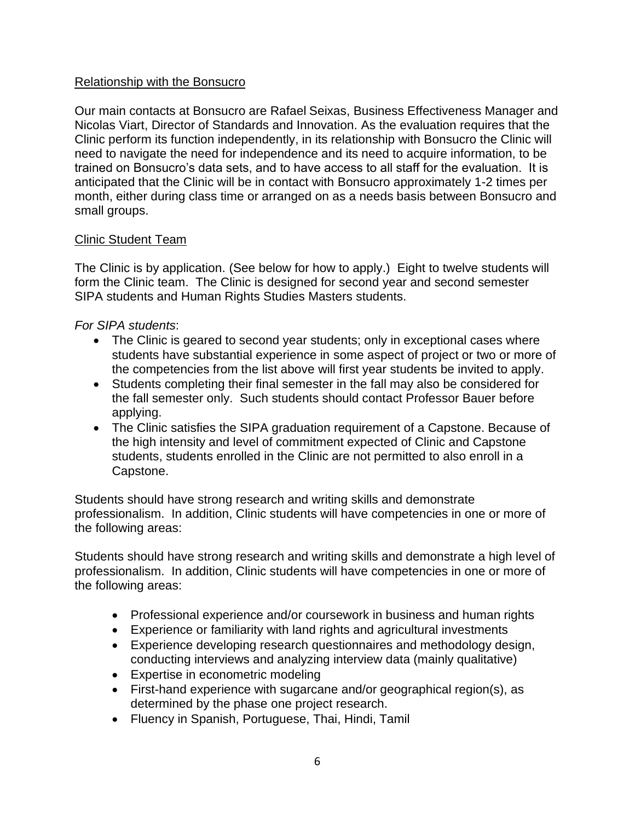### Relationship with the Bonsucro

Our main contacts at Bonsucro are Rafael Seixas, Business Effectiveness Manager and Nicolas Viart, Director of Standards and Innovation. As the evaluation requires that the Clinic perform its function independently, in its relationship with Bonsucro the Clinic will need to navigate the need for independence and its need to acquire information, to be trained on Bonsucro's data sets, and to have access to all staff for the evaluation. It is anticipated that the Clinic will be in contact with Bonsucro approximately 1-2 times per month, either during class time or arranged on as a needs basis between Bonsucro and small groups.

### Clinic Student Team

The Clinic is by application. (See below for how to apply.) Eight to twelve students will form the Clinic team. The Clinic is designed for second year and second semester SIPA students and Human Rights Studies Masters students.

### *For SIPA students*:

- The Clinic is geared to second year students; only in exceptional cases where students have substantial experience in some aspect of project or two or more of the competencies from the list above will first year students be invited to apply.
- Students completing their final semester in the fall may also be considered for the fall semester only. Such students should contact Professor Bauer before applying.
- The Clinic satisfies the SIPA graduation requirement of a Capstone. Because of the high intensity and level of commitment expected of Clinic and Capstone students, students enrolled in the Clinic are not permitted to also enroll in a Capstone.

Students should have strong research and writing skills and demonstrate professionalism. In addition, Clinic students will have competencies in one or more of the following areas:

Students should have strong research and writing skills and demonstrate a high level of professionalism. In addition, Clinic students will have competencies in one or more of the following areas:

- Professional experience and/or coursework in business and human rights
- Experience or familiarity with land rights and agricultural investments
- Experience developing research questionnaires and methodology design, conducting interviews and analyzing interview data (mainly qualitative)
- Expertise in econometric modeling
- First-hand experience with sugarcane and/or geographical region(s), as determined by the phase one project research.
- Fluency in Spanish, Portuguese, Thai, Hindi, Tamil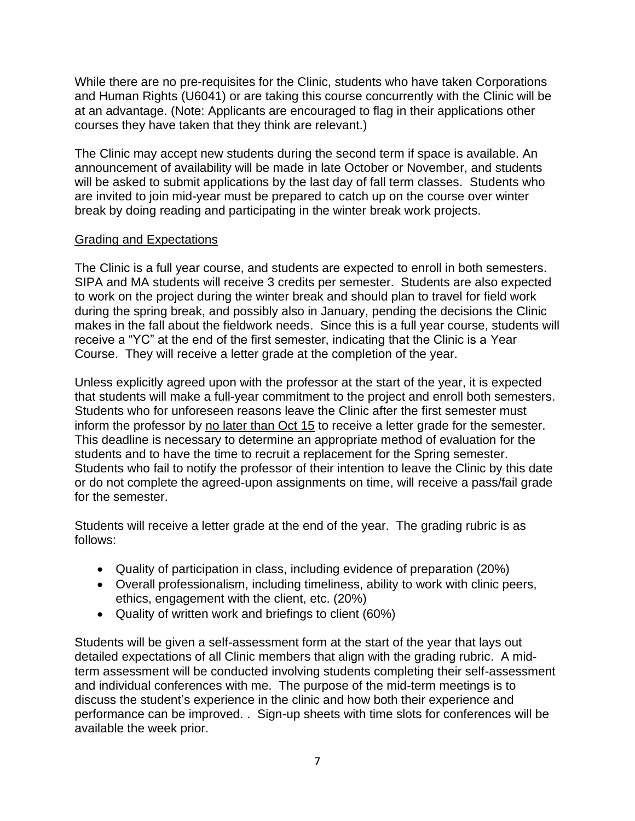While there are no pre-requisites for the Clinic, students who have taken Corporations and Human Rights (U6041) or are taking this course concurrently with the Clinic will be at an advantage. (Note: Applicants are encouraged to flag in their applications other courses they have taken that they think are relevant.)

The Clinic may accept new students during the second term if space is available. An announcement of availability will be made in late October or November, and students will be asked to submit applications by the last day of fall term classes. Students who are invited to join mid-year must be prepared to catch up on the course over winter break by doing reading and participating in the winter break work projects.

### Grading and Expectations

The Clinic is a full year course, and students are expected to enroll in both semesters. SIPA and MA students will receive 3 credits per semester. Students are also expected to work on the project during the winter break and should plan to travel for field work during the spring break, and possibly also in January, pending the decisions the Clinic makes in the fall about the fieldwork needs. Since this is a full year course, students will receive a "YC" at the end of the first semester, indicating that the Clinic is a Year Course. They will receive a letter grade at the completion of the year.

Unless explicitly agreed upon with the professor at the start of the year, it is expected that students will make a full-year commitment to the project and enroll both semesters. Students who for unforeseen reasons leave the Clinic after the first semester must inform the professor by no later than Oct 15 to receive a letter grade for the semester. This deadline is necessary to determine an appropriate method of evaluation for the students and to have the time to recruit a replacement for the Spring semester. Students who fail to notify the professor of their intention to leave the Clinic by this date or do not complete the agreed-upon assignments on time, will receive a pass/fail grade for the semester.

Students will receive a letter grade at the end of the year. The grading rubric is as follows:

- Quality of participation in class, including evidence of preparation (20%)
- Overall professionalism, including timeliness, ability to work with clinic peers, ethics, engagement with the client, etc. (20%)
- Quality of written work and briefings to client (60%)

Students will be given a self-assessment form at the start of the year that lays out detailed expectations of all Clinic members that align with the grading rubric. A midterm assessment will be conducted involving students completing their self-assessment and individual conferences with me. The purpose of the mid-term meetings is to discuss the student's experience in the clinic and how both their experience and performance can be improved. . Sign-up sheets with time slots for conferences will be available the week prior.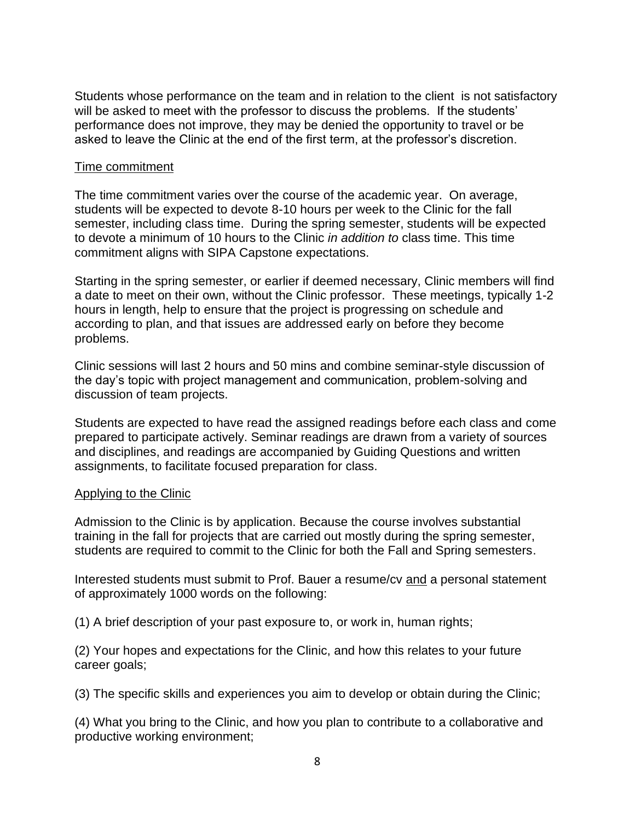Students whose performance on the team and in relation to the client is not satisfactory will be asked to meet with the professor to discuss the problems. If the students' performance does not improve, they may be denied the opportunity to travel or be asked to leave the Clinic at the end of the first term, at the professor's discretion.

### Time commitment

The time commitment varies over the course of the academic year. On average, students will be expected to devote 8-10 hours per week to the Clinic for the fall semester, including class time. During the spring semester, students will be expected to devote a minimum of 10 hours to the Clinic *in addition to* class time. This time commitment aligns with SIPA Capstone expectations.

Starting in the spring semester, or earlier if deemed necessary, Clinic members will find a date to meet on their own, without the Clinic professor. These meetings, typically 1-2 hours in length, help to ensure that the project is progressing on schedule and according to plan, and that issues are addressed early on before they become problems.

Clinic sessions will last 2 hours and 50 mins and combine seminar-style discussion of the day's topic with project management and communication, problem-solving and discussion of team projects.

Students are expected to have read the assigned readings before each class and come prepared to participate actively. Seminar readings are drawn from a variety of sources and disciplines, and readings are accompanied by Guiding Questions and written assignments, to facilitate focused preparation for class.

#### Applying to the Clinic

Admission to the Clinic is by application. Because the course involves substantial training in the fall for projects that are carried out mostly during the spring semester, students are required to commit to the Clinic for both the Fall and Spring semesters.

Interested students must submit to Prof. Bauer a resume/cv and a personal statement of approximately 1000 words on the following:

(1) A brief description of your past exposure to, or work in, human rights;

(2) Your hopes and expectations for the Clinic, and how this relates to your future career goals;

(3) The specific skills and experiences you aim to develop or obtain during the Clinic;

(4) What you bring to the Clinic, and how you plan to contribute to a collaborative and productive working environment;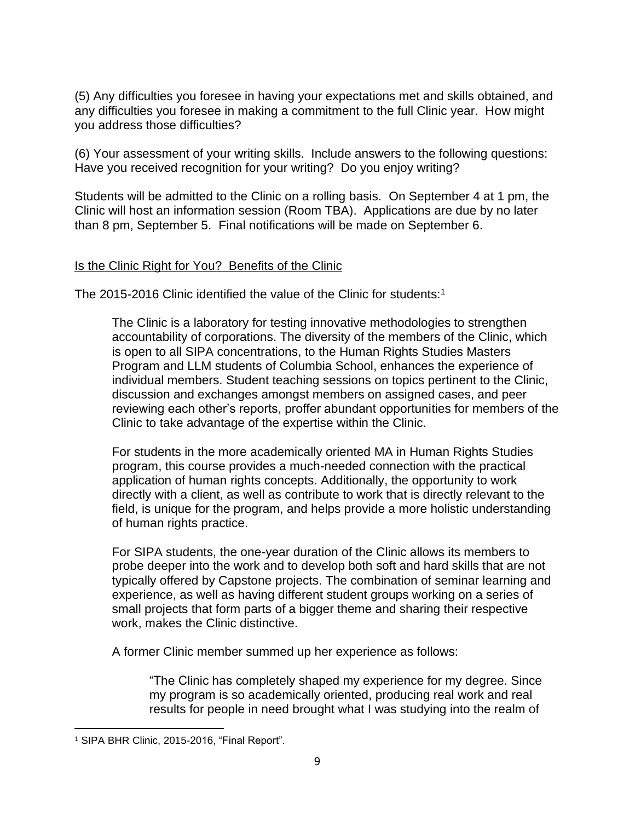(5) Any difficulties you foresee in having your expectations met and skills obtained, and any difficulties you foresee in making a commitment to the full Clinic year. How might you address those difficulties?

(6) Your assessment of your writing skills. Include answers to the following questions: Have you received recognition for your writing? Do you enjoy writing?

Students will be admitted to the Clinic on a rolling basis. On September 4 at 1 pm, the Clinic will host an information session (Room TBA). Applications are due by no later than 8 pm, September 5. Final notifications will be made on September 6.

### Is the Clinic Right for You? Benefits of the Clinic

The 2015-2016 Clinic identified the value of the Clinic for students:<sup>1</sup>

The Clinic is a laboratory for testing innovative methodologies to strengthen accountability of corporations. The diversity of the members of the Clinic, which is open to all SIPA concentrations, to the Human Rights Studies Masters Program and LLM students of Columbia School, enhances the experience of individual members. Student teaching sessions on topics pertinent to the Clinic, discussion and exchanges amongst members on assigned cases, and peer reviewing each other's reports, proffer abundant opportunities for members of the Clinic to take advantage of the expertise within the Clinic.

For students in the more academically oriented MA in Human Rights Studies program, this course provides a much-needed connection with the practical application of human rights concepts. Additionally, the opportunity to work directly with a client, as well as contribute to work that is directly relevant to the field, is unique for the program, and helps provide a more holistic understanding of human rights practice.

For SIPA students, the one-year duration of the Clinic allows its members to probe deeper into the work and to develop both soft and hard skills that are not typically offered by Capstone projects. The combination of seminar learning and experience, as well as having different student groups working on a series of small projects that form parts of a bigger theme and sharing their respective work, makes the Clinic distinctive.

A former Clinic member summed up her experience as follows:

"The Clinic has completely shaped my experience for my degree. Since my program is so academically oriented, producing real work and real results for people in need brought what I was studying into the realm of

<sup>1</sup> SIPA BHR Clinic, 2015-2016, "Final Report".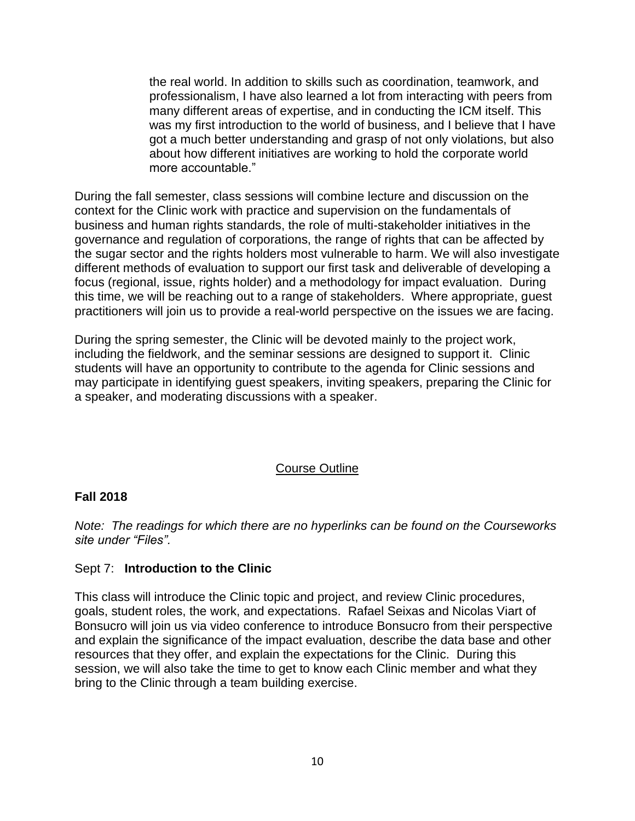the real world. In addition to skills such as coordination, teamwork, and professionalism, I have also learned a lot from interacting with peers from many different areas of expertise, and in conducting the ICM itself. This was my first introduction to the world of business, and I believe that I have got a much better understanding and grasp of not only violations, but also about how different initiatives are working to hold the corporate world more accountable."

During the fall semester, class sessions will combine lecture and discussion on the context for the Clinic work with practice and supervision on the fundamentals of business and human rights standards, the role of multi-stakeholder initiatives in the governance and regulation of corporations, the range of rights that can be affected by the sugar sector and the rights holders most vulnerable to harm. We will also investigate different methods of evaluation to support our first task and deliverable of developing a focus (regional, issue, rights holder) and a methodology for impact evaluation. During this time, we will be reaching out to a range of stakeholders. Where appropriate, guest practitioners will join us to provide a real-world perspective on the issues we are facing.

During the spring semester, the Clinic will be devoted mainly to the project work, including the fieldwork, and the seminar sessions are designed to support it. Clinic students will have an opportunity to contribute to the agenda for Clinic sessions and may participate in identifying guest speakers, inviting speakers, preparing the Clinic for a speaker, and moderating discussions with a speaker.

### Course Outline

### **Fall 2018**

*Note: The readings for which there are no hyperlinks can be found on the Courseworks site under "Files".*

### Sept 7: **Introduction to the Clinic**

This class will introduce the Clinic topic and project, and review Clinic procedures, goals, student roles, the work, and expectations. Rafael Seixas and Nicolas Viart of Bonsucro will join us via video conference to introduce Bonsucro from their perspective and explain the significance of the impact evaluation, describe the data base and other resources that they offer, and explain the expectations for the Clinic. During this session, we will also take the time to get to know each Clinic member and what they bring to the Clinic through a team building exercise.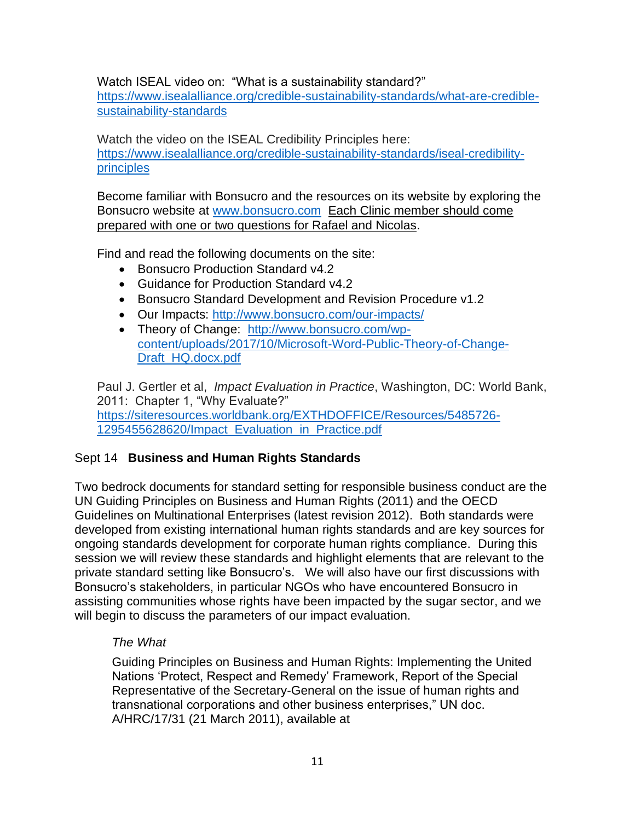Watch ISEAL video on: "What is a sustainability standard?"

[https://www.isealalliance.org/credible-sustainability-standards/what-are-credible](https://www.isealalliance.org/credible-sustainability-standards/what-are-credible-sustainability-standards)[sustainability-standards](https://www.isealalliance.org/credible-sustainability-standards/what-are-credible-sustainability-standards)

Watch the video on the ISEAL Credibility Principles here: [https://www.isealalliance.org/credible-sustainability-standards/iseal-credibility](https://www.isealalliance.org/credible-sustainability-standards/iseal-credibility-principles)[principles](https://www.isealalliance.org/credible-sustainability-standards/iseal-credibility-principles)

Become familiar with Bonsucro and the resources on its website by exploring the Bonsucro website at [www.bonsucro.com](http://www.bonsucro.com/) Each Clinic member should come prepared with one or two questions for Rafael and Nicolas.

Find and read the following documents on the site:

- Bonsucro Production Standard v4.2
- Guidance for Production Standard v4.2
- Bonsucro Standard Development and Revision Procedure v1.2
- Our Impacts:<http://www.bonsucro.com/our-impacts/>
- Theory of Change: [http://www.bonsucro.com/wp](http://www.bonsucro.com/wp-content/uploads/2017/10/Microsoft-Word-Public-Theory-of-Change-Draft_HQ.docx.pdf)[content/uploads/2017/10/Microsoft-Word-Public-Theory-of-Change-](http://www.bonsucro.com/wp-content/uploads/2017/10/Microsoft-Word-Public-Theory-of-Change-Draft_HQ.docx.pdf)[Draft\\_HQ.docx.pdf](http://www.bonsucro.com/wp-content/uploads/2017/10/Microsoft-Word-Public-Theory-of-Change-Draft_HQ.docx.pdf)

Paul J. Gertler et al, *Impact Evaluation in Practice*, Washington, DC: World Bank, 2011: Chapter 1, "Why Evaluate?" [https://siteresources.worldbank.org/EXTHDOFFICE/Resources/5485726-](https://siteresources.worldbank.org/EXTHDOFFICE/Resources/5485726-1295455628620/Impact_Evaluation_in_Practice.pdf) [1295455628620/Impact\\_Evaluation\\_in\\_Practice.pdf](https://siteresources.worldbank.org/EXTHDOFFICE/Resources/5485726-1295455628620/Impact_Evaluation_in_Practice.pdf)

# Sept 14 **Business and Human Rights Standards**

Two bedrock documents for standard setting for responsible business conduct are the UN Guiding Principles on Business and Human Rights (2011) and the OECD Guidelines on Multinational Enterprises (latest revision 2012). Both standards were developed from existing international human rights standards and are key sources for ongoing standards development for corporate human rights compliance. During this session we will review these standards and highlight elements that are relevant to the private standard setting like Bonsucro's. We will also have our first discussions with Bonsucro's stakeholders, in particular NGOs who have encountered Bonsucro in assisting communities whose rights have been impacted by the sugar sector, and we will begin to discuss the parameters of our impact evaluation.

# *The What*

Guiding Principles on Business and Human Rights: Implementing the United Nations 'Protect, Respect and Remedy' Framework, Report of the Special Representative of the Secretary-General on the issue of human rights and transnational corporations and other business enterprises," UN doc. A/HRC/17/31 (21 March 2011), available at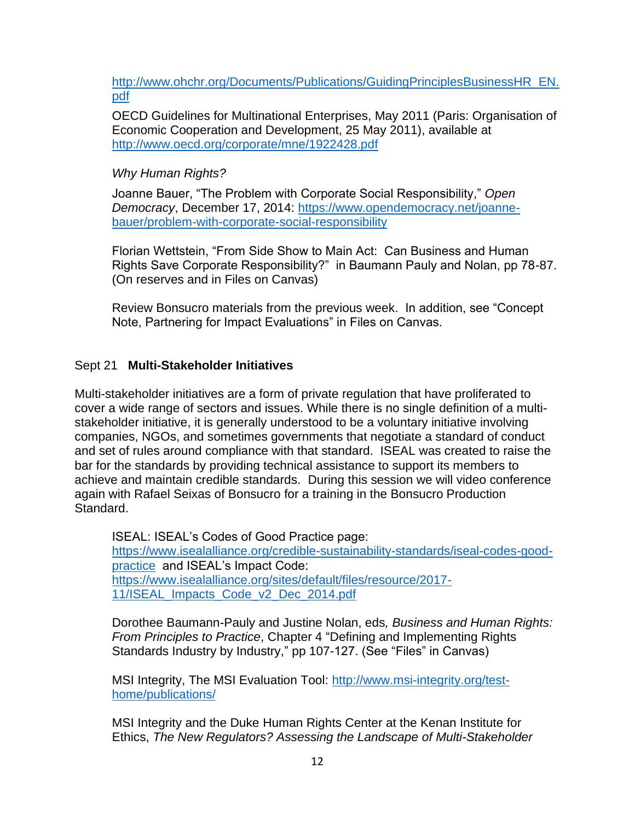[http://www.ohchr.org/Documents/Publications/GuidingPrinciplesBusinessHR\\_EN.](http://www.ohchr.org/Documents/Publications/GuidingPrinciplesBusinessHR_EN.pdf) [pdf](http://www.ohchr.org/Documents/Publications/GuidingPrinciplesBusinessHR_EN.pdf)

OECD Guidelines for Multinational Enterprises, May 2011 (Paris: Organisation of Economic Cooperation and Development, 25 May 2011), available at <http://www.oecd.org/corporate/mne/1922428.pdf>

## *Why Human Rights?*

Joanne Bauer, "The Problem with Corporate Social Responsibility," *Open Democracy*, December 17, 2014: [https://www.opendemocracy.net/joanne](https://www.opendemocracy.net/joanne-bauer/problem-with-corporate-social-responsibility)[bauer/problem-with-corporate-social-responsibility](https://www.opendemocracy.net/joanne-bauer/problem-with-corporate-social-responsibility)

Florian Wettstein, "From Side Show to Main Act: Can Business and Human Rights Save Corporate Responsibility?" in Baumann Pauly and Nolan, pp 78-87. (On reserves and in Files on Canvas)

Review Bonsucro materials from the previous week. In addition, see "Concept Note, Partnering for Impact Evaluations" in Files on Canvas.

### Sept 21 **Multi-Stakeholder Initiatives**

Multi-stakeholder initiatives are a form of private regulation that have proliferated to cover a wide range of sectors and issues. While there is no single definition of a multistakeholder initiative, it is generally understood to be a voluntary initiative involving companies, NGOs, and sometimes governments that negotiate a standard of conduct and set of rules around compliance with that standard. ISEAL was created to raise the bar for the standards by providing technical assistance to support its members to achieve and maintain credible standards. During this session we will video conference again with Rafael Seixas of Bonsucro for a training in the Bonsucro Production Standard.

ISEAL: ISEAL's Codes of Good Practice page: [https://www.isealalliance.org/credible-sustainability-standards/iseal-codes-good](https://www.isealalliance.org/credible-sustainability-standards/iseal-codes-good-practice)[practice](https://www.isealalliance.org/credible-sustainability-standards/iseal-codes-good-practice) and ISEAL's Impact Code: [https://www.isealalliance.org/sites/default/files/resource/2017-](https://www.isealalliance.org/sites/default/files/resource/2017-11/ISEAL_Impacts_Code_v2_Dec_2014.pdf) [11/ISEAL\\_Impacts\\_Code\\_v2\\_Dec\\_2014.pdf](https://www.isealalliance.org/sites/default/files/resource/2017-11/ISEAL_Impacts_Code_v2_Dec_2014.pdf)

Dorothee Baumann-Pauly and Justine Nolan, eds*, Business and Human Rights: From Principles to Practice*, Chapter 4 "Defining and Implementing Rights Standards Industry by Industry," pp 107-127. (See "Files" in Canvas)

MSI Integrity, The MSI Evaluation Tool: [http://www.msi-integrity.org/test](http://www.msi-integrity.org/test-home/publications/)[home/publications/](http://www.msi-integrity.org/test-home/publications/)

MSI Integrity and the Duke Human Rights Center at the Kenan Institute for Ethics, *The New Regulators? Assessing the Landscape of Multi-Stakeholder*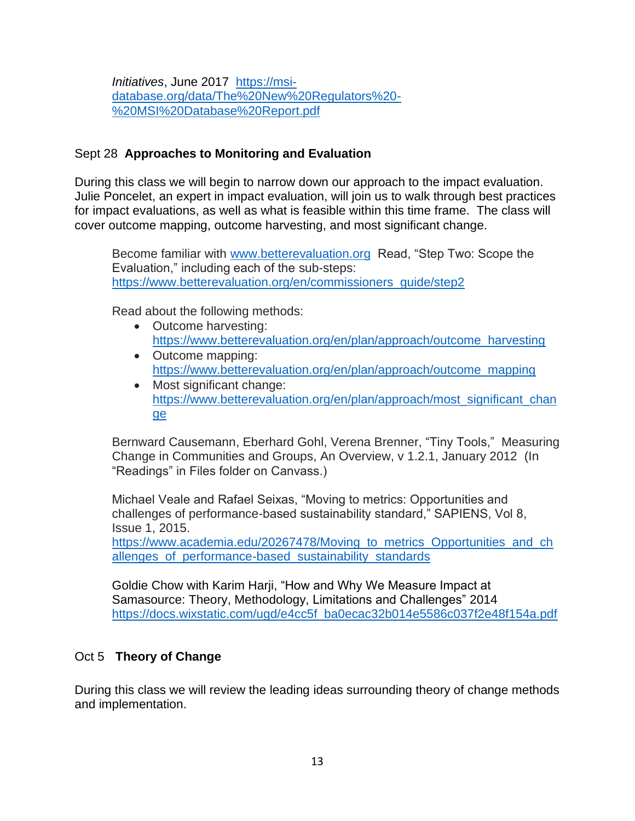*Initiatives*, June 2017 [https://msi](https://msi-database.org/data/The%20New%20Regulators%20-%20MSI%20Database%20Report.pdf)[database.org/data/The%20New%20Regulators%20-](https://msi-database.org/data/The%20New%20Regulators%20-%20MSI%20Database%20Report.pdf) [%20MSI%20Database%20Report.pdf](https://msi-database.org/data/The%20New%20Regulators%20-%20MSI%20Database%20Report.pdf)

## Sept 28 **Approaches to Monitoring and Evaluation**

During this class we will begin to narrow down our approach to the impact evaluation. Julie Poncelet, an expert in impact evaluation, will join us to walk through best practices for impact evaluations, as well as what is feasible within this time frame. The class will cover outcome mapping, outcome harvesting, and most significant change.

Become familiar with [www.betterevaluation.org](http://www.betterevaluation.org/) Read, "Step Two: Scope the Evaluation," including each of the sub-steps: [https://www.betterevaluation.org/en/commissioners\\_guide/step2](https://www.betterevaluation.org/en/commissioners_guide/step2)

Read about the following methods:

- Outcome harvesting: [https://www.betterevaluation.org/en/plan/approach/outcome\\_harvesting](https://www.betterevaluation.org/en/plan/approach/outcome_harvesting)
- Outcome mapping: [https://www.betterevaluation.org/en/plan/approach/outcome\\_mapping](https://www.betterevaluation.org/en/plan/approach/outcome_mapping)
- Most significant change: [https://www.betterevaluation.org/en/plan/approach/most\\_significant\\_chan](https://www.betterevaluation.org/en/plan/approach/most_significant_change) [ge](https://www.betterevaluation.org/en/plan/approach/most_significant_change)

Bernward Causemann, Eberhard Gohl, Verena Brenner, "Tiny Tools," Measuring Change in Communities and Groups, An Overview, v 1.2.1, January 2012 (In "Readings" in Files folder on Canvass.)

Michael Veale and Rafael Seixas, "Moving to metrics: Opportunities and challenges of performance-based sustainability standard," SAPIENS, Vol 8, Issue 1, 2015.

https://www.academia.edu/20267478/Moving to metrics Opportunities and ch [allenges\\_of\\_performance-based\\_sustainability\\_standards](https://www.academia.edu/20267478/Moving_to_metrics_Opportunities_and_challenges_of_performance-based_sustainability_standards)

Goldie Chow with Karim Harji, "How and Why We Measure Impact at Samasource: Theory, Methodology, Limitations and Challenges" 2014 [https://docs.wixstatic.com/ugd/e4cc5f\\_ba0ecac32b014e5586c037f2e48f154a.pdf](https://docs.wixstatic.com/ugd/e4cc5f_ba0ecac32b014e5586c037f2e48f154a.pdf)

# Oct 5 **Theory of Change**

During this class we will review the leading ideas surrounding theory of change methods and implementation.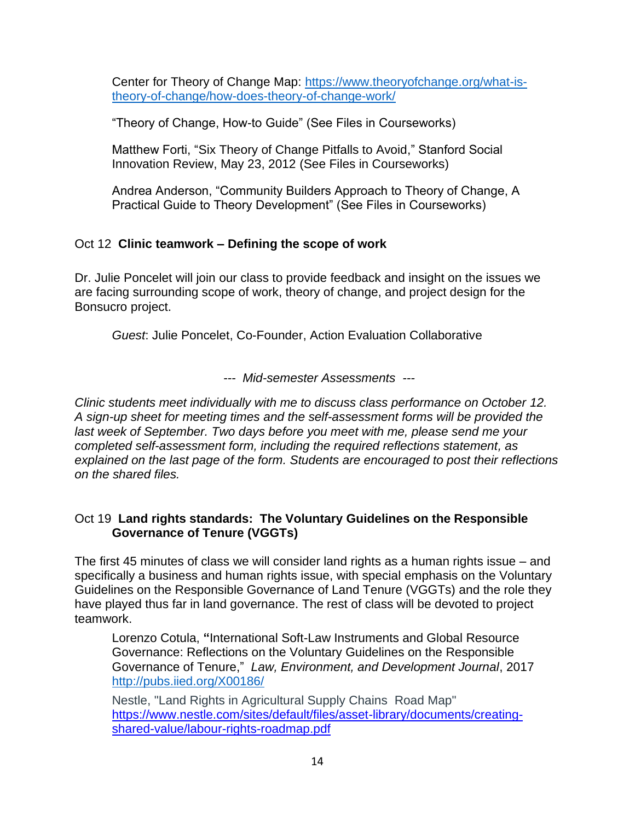Center for Theory of Change Map: [https://www.theoryofchange.org/what-is](https://www.theoryofchange.org/what-is-theory-of-change/how-does-theory-of-change-work/)[theory-of-change/how-does-theory-of-change-work/](https://www.theoryofchange.org/what-is-theory-of-change/how-does-theory-of-change-work/)

"Theory of Change, How-to Guide" (See Files in Courseworks)

Matthew Forti, "Six Theory of Change Pitfalls to Avoid," Stanford Social Innovation Review, May 23, 2012 (See Files in Courseworks)

Andrea Anderson, "Community Builders Approach to Theory of Change, A Practical Guide to Theory Development" (See Files in Courseworks)

# Oct 12 **Clinic teamwork – Defining the scope of work**

Dr. Julie Poncelet will join our class to provide feedback and insight on the issues we are facing surrounding scope of work, theory of change, and project design for the Bonsucro project.

*Guest*: Julie Poncelet, Co-Founder, Action Evaluation Collaborative

*--- Mid-semester Assessments ---*

*Clinic students meet individually with me to discuss class performance on October 12. A sign-up sheet for meeting times and the self-assessment forms will be provided the last week of September. Two days before you meet with me, please send me your completed self-assessment form, including the required reflections statement, as explained on the last page of the form. Students are encouraged to post their reflections on the shared files.* 

### Oct 19 **Land rights standards: The Voluntary Guidelines on the Responsible Governance of Tenure (VGGTs)**

The first 45 minutes of class we will consider land rights as a human rights issue – and specifically a business and human rights issue, with special emphasis on the Voluntary Guidelines on the Responsible Governance of Land Tenure (VGGTs) and the role they have played thus far in land governance. The rest of class will be devoted to project teamwork.

Lorenzo Cotula, **"**International Soft-Law Instruments and Global Resource Governance: Reflections on the Voluntary Guidelines on the Responsible Governance of Tenure," *Law, Environment, and Development Journal*, 2017 <http://pubs.iied.org/X00186/>

Nestle, "Land Rights in Agricultural Supply Chains Road Map" [https://www.nestle.com/sites/default/files/asset-library/documents/creating](https://www.nestle.com/sites/default/files/asset-library/documents/creating-shared-value/labour-rights-roadmap.pdf)[shared-value/labour-rights-roadmap.pdf](https://www.nestle.com/sites/default/files/asset-library/documents/creating-shared-value/labour-rights-roadmap.pdf)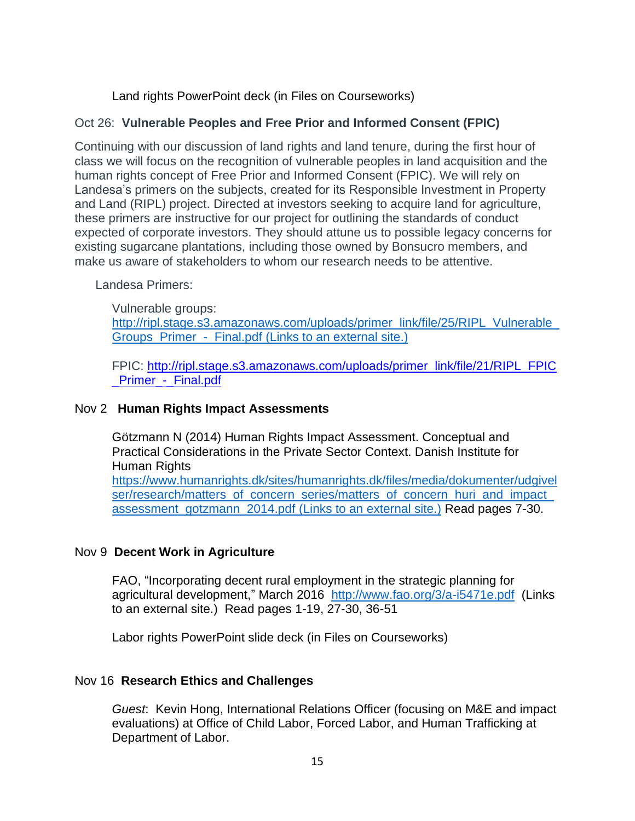Land rights PowerPoint deck (in Files on Courseworks)

# Oct 26: **Vulnerable Peoples and Free Prior and Informed Consent (FPIC)**

Continuing with our discussion of land rights and land tenure, during the first hour of class we will focus on the recognition of vulnerable peoples in land acquisition and the human rights concept of Free Prior and Informed Consent (FPIC). We will rely on Landesa's primers on the subjects, created for its Responsible Investment in Property and Land (RIPL) project. Directed at investors seeking to acquire land for agriculture, these primers are instructive for our project for outlining the standards of conduct expected of corporate investors. They should attune us to possible legacy concerns for existing sugarcane plantations, including those owned by Bonsucro members, and make us aware of stakeholders to whom our research needs to be attentive.

Landesa Primers:

Vulnerable groups: [http://ripl.stage.s3.amazonaws.com/uploads/primer\\_link/file/25/RIPL\\_Vulnerable\\_](http://ripl.stage.s3.amazonaws.com/uploads/primer_link/file/25/RIPL_Vulnerable_Groups_Primer_-_Final.pdf (Links%20to%20an%20external%20site.)) Groups Primer - Final.pdf (Links to an external site.)

FPIC: [http://ripl.stage.s3.amazonaws.com/uploads/primer\\_link/file/21/RIPL\\_FPIC](http://ripl.stage.s3.amazonaws.com/uploads/primer_link/file/21/RIPL_FPIC_Primer_-_Final.pdf) [\\_Primer\\_-\\_Final.pdf](http://ripl.stage.s3.amazonaws.com/uploads/primer_link/file/21/RIPL_FPIC_Primer_-_Final.pdf)

## Nov 2 **Human Rights Impact Assessments**

Götzmann N (2014) Human Rights Impact Assessment. Conceptual and Practical Considerations in the Private Sector Context. Danish Institute for Human Rights [https://www.humanrights.dk/sites/humanrights.dk/files/media/dokumenter/udgivel](https://www.humanrights.dk/sites/humanrights.dk/files/media/dokumenter/udgivelser/research/matters_of_concern_series/matters_of_concern_huri_and_impact_assessment_gotzmann_2014.pdf) [ser/research/matters\\_of\\_concern\\_series/matters\\_of\\_concern\\_huri\\_and\\_impact\\_](https://www.humanrights.dk/sites/humanrights.dk/files/media/dokumenter/udgivelser/research/matters_of_concern_series/matters_of_concern_huri_and_impact_assessment_gotzmann_2014.pdf) assessment gotzmann 2014.pdf (Links to an external site.) Read pages 7-30.

# Nov 9 **Decent Work in Agriculture**

FAO, "Incorporating decent rural employment in the strategic planning for agricultural development," March 2016 <http://www.fao.org/3/a-i5471e.pdf> (Links to an external site.) Read pages 1-19, 27-30, 36-51

Labor rights PowerPoint slide deck (in Files on Courseworks)

# Nov 16 **Research Ethics and Challenges**

*Guest*: Kevin Hong, International Relations Officer (focusing on M&E and impact evaluations) at Office of Child Labor, Forced Labor, and Human Trafficking at Department of Labor.